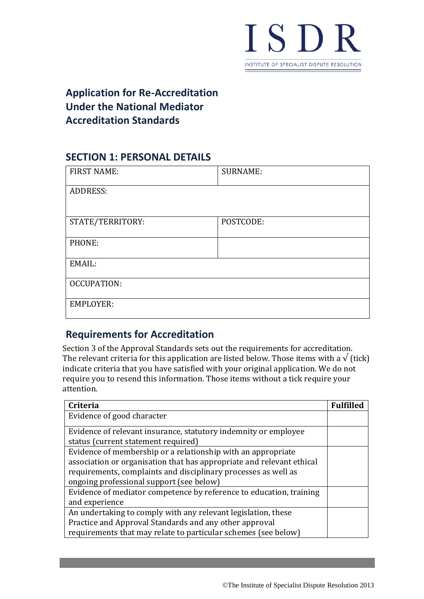

# **Application for Re-Accreditation Under the National Mediator Accreditation Standards**

# **SECTION 1: PERSONAL DETAILS**

| <b>FIRST NAME:</b> | <b>SURNAME:</b> |  |
|--------------------|-----------------|--|
| <b>ADDRESS:</b>    |                 |  |
|                    |                 |  |
| STATE/TERRITORY:   | POSTCODE:       |  |
| PHONE:             |                 |  |
| EMAIL:             |                 |  |
| OCCUPATION:        |                 |  |
| <b>EMPLOYER:</b>   |                 |  |

# **Requirements for Accreditation**

Section 3 of the Approval Standards sets out the requirements for accreditation. The relevant criteria for this application are listed below. Those items with a  $\sqrt{\text{tick}}$ indicate criteria that you have satisfied with your original application. We do not require you to resend this information. Those items without a tick require your attention.

| <b>Criteria</b>                                                       | <b>Fulfilled</b> |
|-----------------------------------------------------------------------|------------------|
| Evidence of good character                                            |                  |
| Evidence of relevant insurance, statutory indemnity or employee       |                  |
|                                                                       |                  |
| status (current statement required)                                   |                  |
| Evidence of membership or a relationship with an appropriate          |                  |
| association or organisation that has appropriate and relevant ethical |                  |
| requirements, complaints and disciplinary processes as well as        |                  |
| ongoing professional support (see below)                              |                  |
| Evidence of mediator competence by reference to education, training   |                  |
| and experience                                                        |                  |
| An undertaking to comply with any relevant legislation, these         |                  |
| Practice and Approval Standards and any other approval                |                  |
| requirements that may relate to particular schemes (see below)        |                  |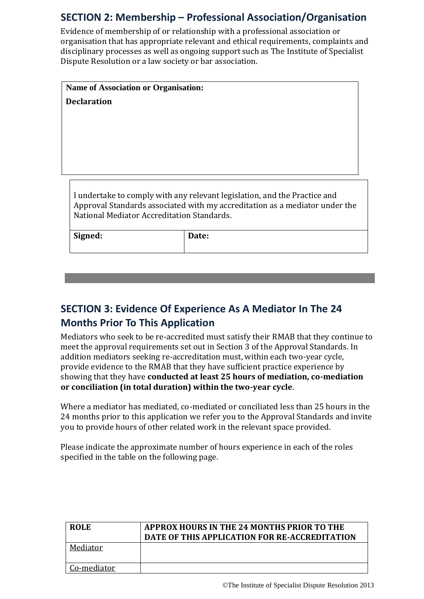# **SECTION 2: Membership – Professional Association/Organisation**

Evidence of membership of or relationship with a professional association or organisation that has appropriate relevant and ethical requirements, complaints and disciplinary processes as well as ongoing support such as The Institute of Specialist Dispute Resolution or a law society or bar association.

**Declaration Name of Association or Organisation:**

I undertake to comply with any relevant legislation, and the Practice and Approval Standards associated with my accreditation as a mediator under the National Mediator Accreditation Standards.

**Signed: Date:**

# **SECTION 3: Evidence Of Experience As A Mediator In The 24 Months Prior To This Application**

Mediators who seek to be re-accredited must satisfy their RMAB that they continue to meet the approval requirements set out in Section 3 of the Approval Standards. In addition mediators seeking re-accreditation must, within each two-year cycle, provide evidence to the RMAB that they have sufficient practice experience by showing that they have **conducted at least 25 hours of mediation, co-mediation or conciliation (in total duration) within the two-year cycle**.

Where a mediator has mediated, co-mediated or conciliated less than 25 hours in the 24 months prior to this application we refer you to the Approval Standards and invite you to provide hours of other related work in the relevant space provided.

Please indicate the approximate number of hours experience in each of the roles specified in the table on the following page.

| <b>ROLE</b>  | <b>APPROX HOURS IN THE 24 MONTHS PRIOR TO THE</b><br>DATE OF THIS APPLICATION FOR RE-ACCREDITATION |
|--------------|----------------------------------------------------------------------------------------------------|
| Mediator     |                                                                                                    |
| Co-mediator. |                                                                                                    |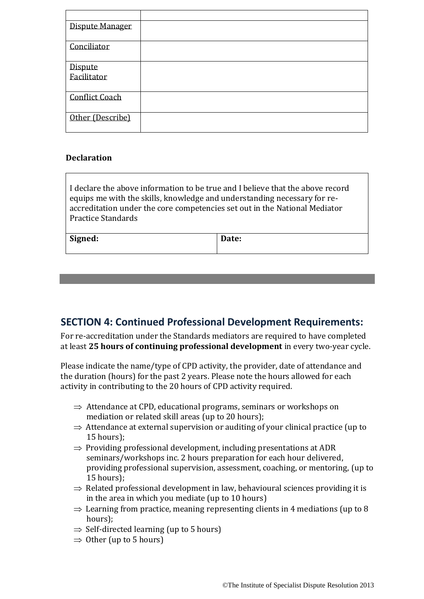| Dispute Manager        |  |
|------------------------|--|
| Conciliator            |  |
| Dispute<br>Facilitator |  |
|                        |  |
| <b>Conflict Coach</b>  |  |
| Other (Describe)       |  |

#### **Declaration**

I declare the above information to be true and I believe that the above record equips me with the skills, knowledge and understanding necessary for reaccreditation under the core competencies set out in the National Mediator Practice Standards

| Signed:<br>Date: |
|------------------|
|------------------|

### **SECTION 4: Continued Professional Development Requirements:**

For re-accreditation under the Standards mediators are required to have completed at least **25 hours of continuing professional development** in every two-year cycle.

Please indicate the name/type of CPD activity, the provider, date of attendance and the duration (hours) for the past 2 years. Please note the hours allowed for each activity in contributing to the 20 hours of CPD activity required.

- $\Rightarrow$  Attendance at CPD, educational programs, seminars or workshops on mediation or related skill areas (up to 20 hours);
- $\Rightarrow$  Attendance at external supervision or auditing of your clinical practice (up to 15 hours);
- $\Rightarrow$  Providing professional development, including presentations at ADR seminars/workshops inc. 2 hours preparation for each hour delivered, providing professional supervision, assessment, coaching, or mentoring, (up to 15 hours);
- $\Rightarrow$  Related professional development in law, behavioural sciences providing it is in the area in which you mediate (up to 10 hours)
- $\Rightarrow$  Learning from practice, meaning representing clients in 4 mediations (up to 8) hours);
- $\Rightarrow$  Self-directed learning (up to 5 hours)
- $\Rightarrow$  Other (up to 5 hours)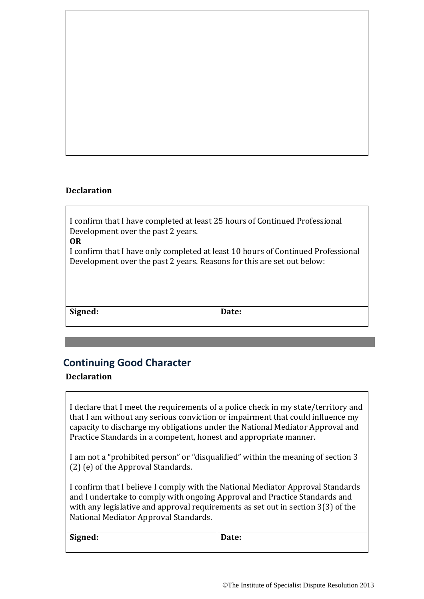#### **Declaration**

I confirm that I have completed at least 25 hours of Continued Professional Development over the past 2 years. **OR**

I confirm that I have only completed at least 10 hours of Continued Professional Development over the past 2 years. Reasons for this are set out below:

| Signed: | Date: |
|---------|-------|
|         |       |

### **Continuing Good Character**

#### **Declaration**

I declare that I meet the requirements of a police check in my state/territory and that I am without any serious conviction or impairment that could influence my capacity to discharge my obligations under the National Mediator Approval and Practice Standards in a competent, honest and appropriate manner.

I am not a "prohibited person" or "disqualified" within the meaning of section 3 (2) (e) of the Approval Standards.

I confirm that I believe I comply with the National Mediator Approval Standards and I undertake to comply with ongoing Approval and Practice Standards and with any legislative and approval requirements as set out in section 3(3) of the National Mediator Approval Standards.

| Signed: | Date: |
|---------|-------|
|         |       |